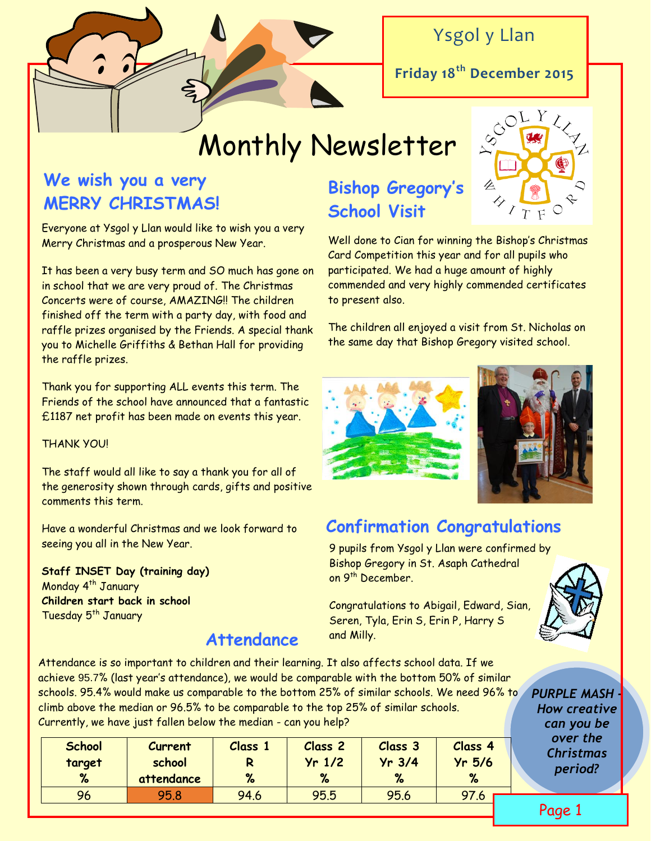

# Ysgol y Llan

**Friday 18th December 2015**

# Monthly Newsletter

# **We wish you a very MERRY CHRISTMAS!**

Everyone at Ysgol y Llan would like to wish you a very Merry Christmas and a prosperous New Year.

It has been a very busy term and SO much has gone on in school that we are very proud of. The Christmas Concerts were of course, AMAZING!! The children finished off the term with a party day, with food and raffle prizes organised by the Friends. A special thank you to Michelle Griffiths & Bethan Hall for providing the raffle prizes.

Thank you for supporting ALL events this term. The Friends of the school have announced that a fantastic £1187 net profit has been made on events this year.

#### THANK YOU!

The staff would all like to say a thank you for all of the generosity shown through cards, gifts and positive comments this term.

Have a wonderful Christmas and we look forward to seeing you all in the New Year.

**Staff INSET Day (training day)** Monday 4<sup>th</sup> January **Children start back in school**  Tuesday 5<sup>th</sup> January

### **Attendance**

# **Bishop Gregory's School Visit**



The children all enjoyed a visit from St. Nicholas on the same day that Bishop Gregory visited school.





## **Confirmation Congratulations**

9 pupils from Ysgol y Llan were confirmed by Bishop Gregory in St. Asaph Cathedral on 9<sup>th</sup> December.

Congratulations to Abigail, Edward, Sian, Seren, Tyla, Erin S, Erin P, Harry S and Milly.



Attendance is so important to children and their learning. It also affects school data. If we achieve 95.7% (last year's attendance), we would be comparable with the bottom 50% of similar schools. 95.4% would make us comparable to the bottom 25% of similar schools. We need 96% to climb above the median or 96.5% to be comparable to the top 25% of similar schools. Currently, we have just fallen below the median - can you help?

| <b>School</b> | Current              | Class 1 | Class <sub>2</sub> | <b>Class 3</b> | Class 4       |  |
|---------------|----------------------|---------|--------------------|----------------|---------------|--|
| target<br>%   | school<br>attendance | R<br>%  | $Yr$ 1/2<br>%      | $Yr$ 3/4<br>%  | $Yr$ 5/6<br>% |  |
| 96            | 95.8                 | 94.6    | 95.5               | 95.6           |               |  |

*PURPLE MASH - How creative can you be over the Christmas period?*

Page 1